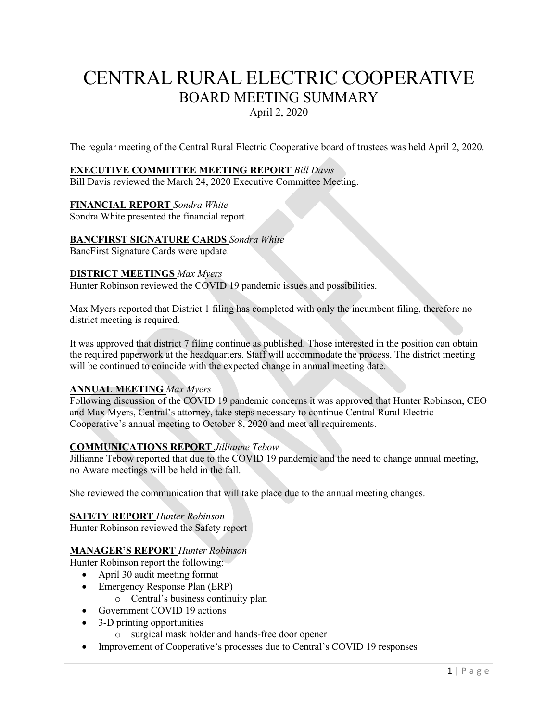# CENTRAL RURAL ELECTRIC COOPERATIVE BOARD MEETING SUMMARY April 2, 2020

The regular meeting of the Central Rural Electric Cooperative board of trustees was held April 2, 2020.

### **EXECUTIVE COMMITTEE MEETING REPORT** *Bill Davis*

Bill Davis reviewed the March 24, 2020 Executive Committee Meeting.

#### **FINANCIAL REPORT** *Sondra White*

Sondra White presented the financial report.

#### **BANCFIRST SIGNATURE CARDS** *Sondra White*

BancFirst Signature Cards were update.

#### **DISTRICT MEETINGS** *Max Myers*

Hunter Robinson reviewed the COVID 19 pandemic issues and possibilities.

Max Myers reported that District 1 filing has completed with only the incumbent filing, therefore no district meeting is required.

It was approved that district 7 filing continue as published. Those interested in the position can obtain the required paperwork at the headquarters. Staff will accommodate the process. The district meeting will be continued to coincide with the expected change in annual meeting date.

#### **ANNUAL MEETING** *Max Myers*

Following discussion of the COVID 19 pandemic concerns it was approved that Hunter Robinson, CEO and Max Myers, Central's attorney, take steps necessary to continue Central Rural Electric Cooperative's annual meeting to October 8, 2020 and meet all requirements.

# **COMMUNICATIONS REPORT** *Jillianne Tebow*

Jillianne Tebow reported that due to the COVID 19 pandemic and the need to change annual meeting, no Aware meetings will be held in the fall.

She reviewed the communication that will take place due to the annual meeting changes.

### **SAFETY REPORT** *Hunter Robinson*

Hunter Robinson reviewed the Safety report

# **MANAGER'S REPORT** *Hunter Robinson*

Hunter Robinson report the following:

- April 30 audit meeting format
- Emergency Response Plan (ERP)
	- o Central's business continuity plan
- Government COVID 19 actions
- 3-D printing opportunities
	- o surgical mask holder and hands-free door opener
- Improvement of Cooperative's processes due to Central's COVID 19 responses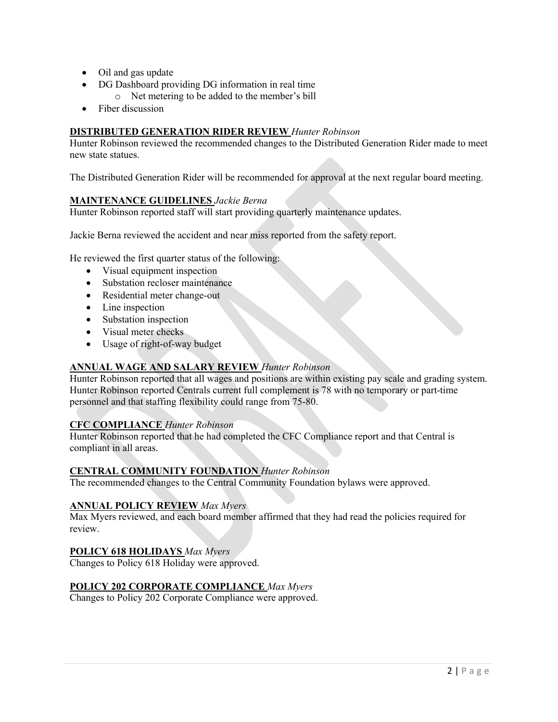- Oil and gas update
- DG Dashboard providing DG information in real time
	- o Net metering to be added to the member's bill
- Fiber discussion

# **DISTRIBUTED GENERATION RIDER REVIEW** *Hunter Robinson*

Hunter Robinson reviewed the recommended changes to the Distributed Generation Rider made to meet new state statues.

The Distributed Generation Rider will be recommended for approval at the next regular board meeting.

# **MAINTENANCE GUIDELINES** *Jackie Berna*

Hunter Robinson reported staff will start providing quarterly maintenance updates.

Jackie Berna reviewed the accident and near miss reported from the safety report.

He reviewed the first quarter status of the following:

- Visual equipment inspection
- Substation recloser maintenance
- Residential meter change-out
- Line inspection
- Substation inspection
- Visual meter checks
- Usage of right-of-way budget

# **ANNUAL WAGE AND SALARY REVIEW** *Hunter Robinson*

Hunter Robinson reported that all wages and positions are within existing pay scale and grading system. Hunter Robinson reported Centrals current full complement is 78 with no temporary or part-time personnel and that staffing flexibility could range from 75-80.

# **CFC COMPLIANCE** *Hunter Robinson*

Hunter Robinson reported that he had completed the CFC Compliance report and that Central is compliant in all areas.

# **CENTRAL COMMUNITY FOUNDATION** *Hunter Robinson*

The recommended changes to the Central Community Foundation bylaws were approved.

# **ANNUAL POLICY REVIEW** *Max Myers*

Max Myers reviewed, and each board member affirmed that they had read the policies required for review.

# **POLICY 618 HOLIDAYS** *Max Myers*

Changes to Policy 618 Holiday were approved.

# **POLICY 202 CORPORATE COMPLIANCE** *Max Myers*

Changes to Policy 202 Corporate Compliance were approved.